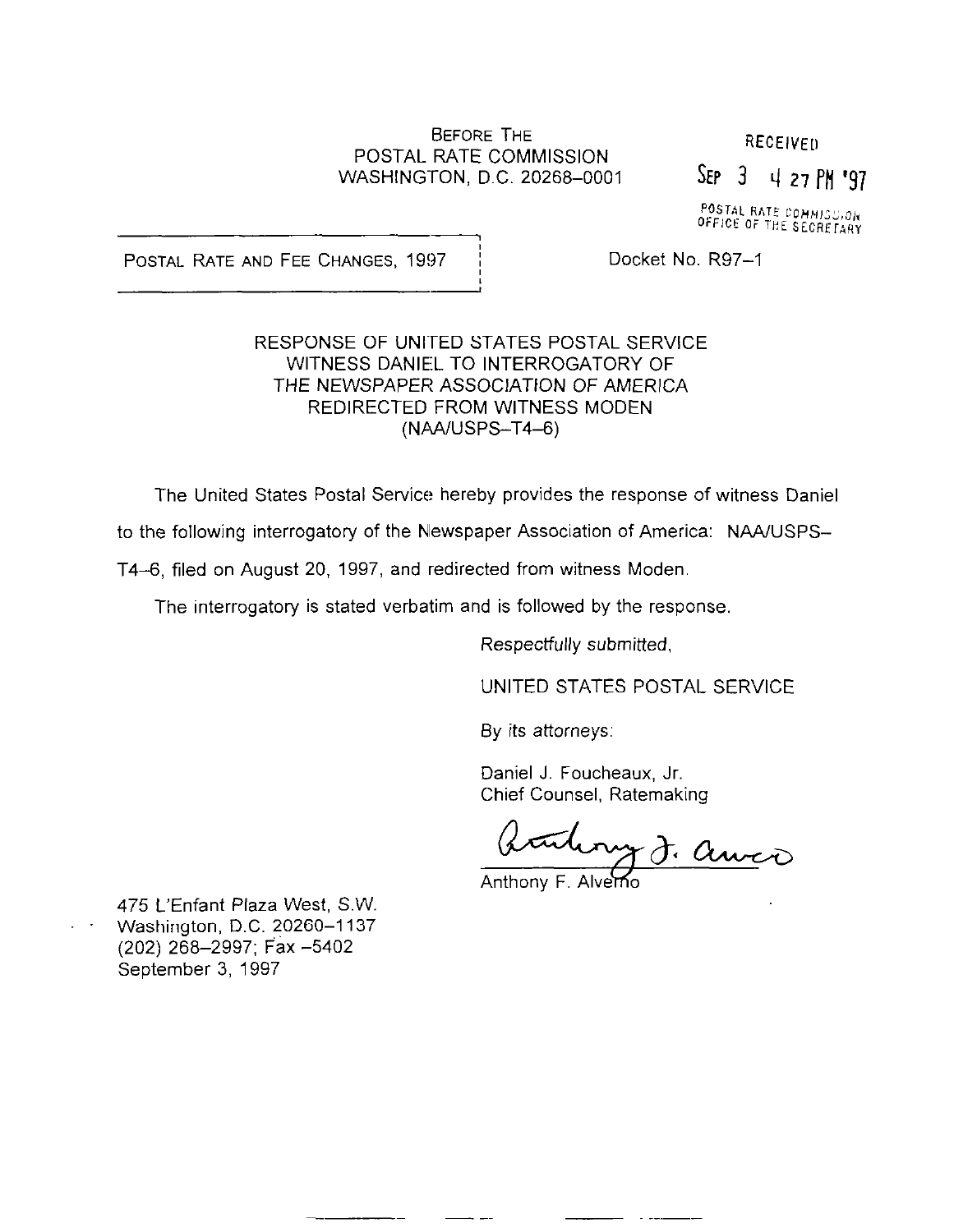#### BEFORE THE POSTAL RATE COMMISSION WASHINGTON, D.C. 20268-0001

**RECEIVED** 

 $SEP$  3 4 27 PM '97

POSTAL RATE COMMISSION<br>OFFICE OF THE SECRETARY

POSTAL RATE AND FEE CHANGES, 1997 | Docket No. R97-1

### RESPONSE OF UNITED STATES POSTAL SERVICE WITNESS DANIEL TO INTERROGATORY OF THE NEWSPAPER ASSOCIATION OF AMERICA REDIRECTED FROM WITNESS MODEN (NAA/USPS-T4-6)

The United States Postal Service hereby provides the response of witness Daniel

to the following interrogatory of the Newspaper Association of America: NAA/USPS-

T4-6, filed on August 20, 1997, and redirected from witness Moden

The interrogatory is stated verbatim and is followed by the response.

Respectfully submitted,

UNITED STATES POSTAL SERVICE

By its attorneys:

Daniel J. Foucheaux, Jr. Chief Counsel, Ratemaking

artery J. auxo

Anthony F. Alverno

475 L'Enfant Plaza West, S.W. Washington, D.C. 20260-1137 (202) 268-2997; Fax -5402 September 3, 1997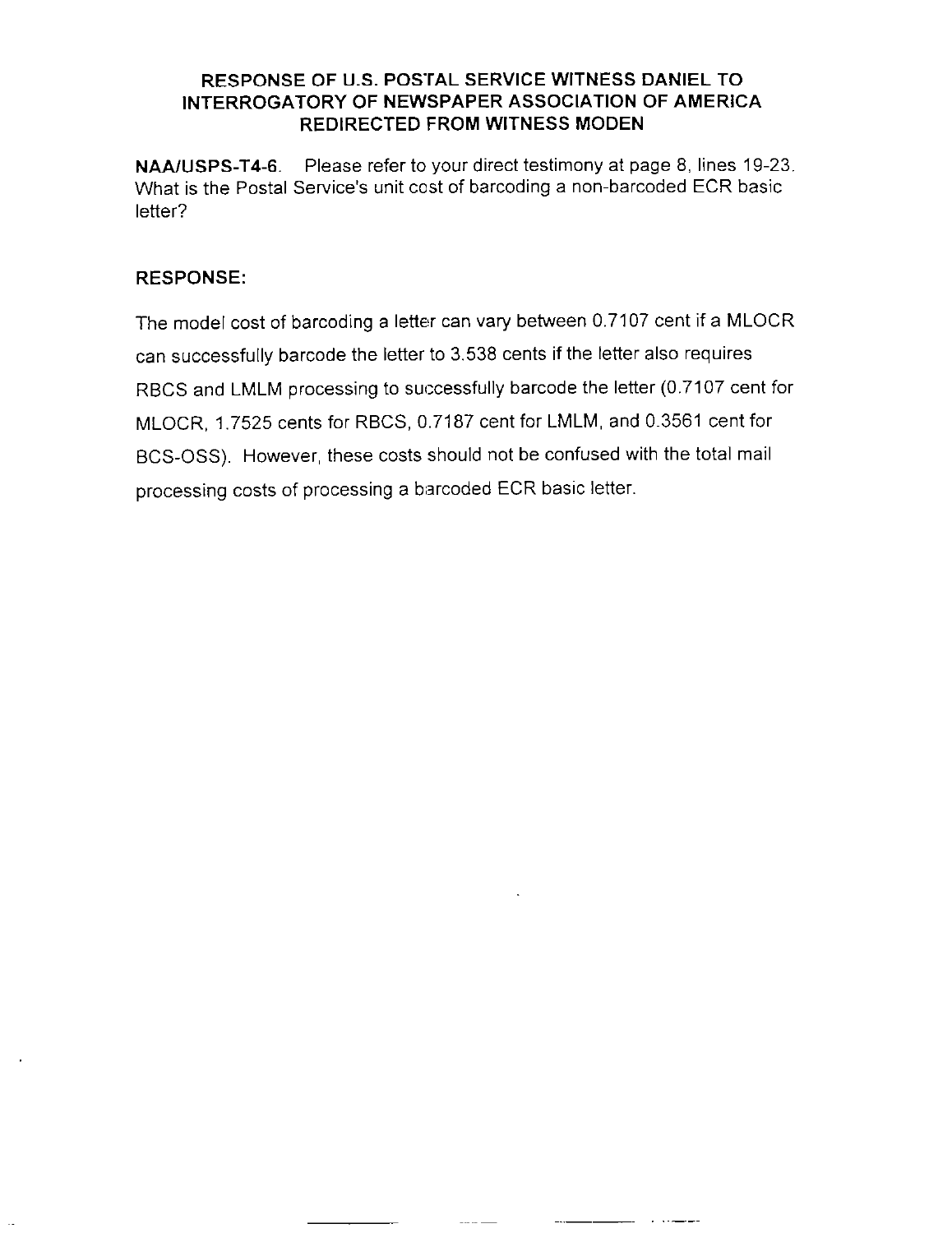### RESPONSE OF U.S. POSTAL SERVICE WITNESS DANIEL TO INTERROGATORY OF NEWSPAPER ASSOCIATION OF AMERICA REDIRECTED FROM WITNESS MODEN

NAAIUSPS-T4-6. Please refer to your direct testimony at page 8, lines 19-23. What is the Postal Service's unit cost of barcoding a non-barcoded ECR basic letter?

# RESPONSE:

The model cost of barcoding a letter can vary between 0.7107 cent if a MLOCR can successfully barcode the letter to 3.538 cents if the letter also requires RBCS and LMLM processing to successfully barcode the letter (0.7107 cent for MLOCR, 1.7525 cents for RBCS, 0.7187 cent for LMLM, and 0.3561 cent for BCS-OSS). However, these costs should not be confused with the total mail processing costs of processing a barcoded ECR basic letter.

منداني المد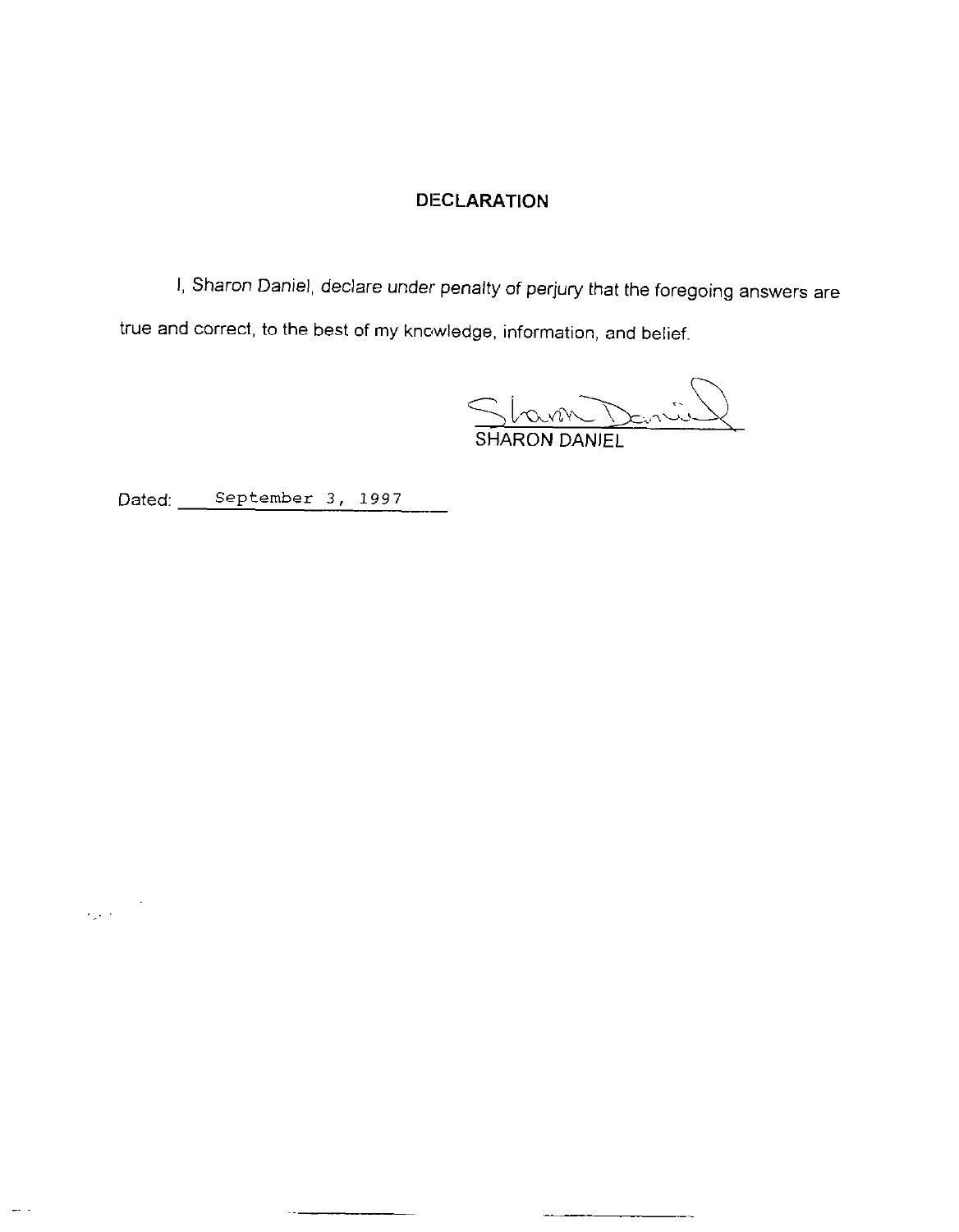## DECLARATION

I, Sharon Daniel, declare under penalty of perjury that the foregoing answers are true and correct, to the best of my knowledge, information, and belief.

Stam Dan SHARON DANIEL

Dated: September 3, 1997 -

 $\label{eq:2} \frac{1}{2\sqrt{2}}\sum_{i=1}^{n-1}\frac{1}{2\sqrt{2}}\int_{0}^{1}d\vec{r}^{\prime}d\vec{r}^{\prime}$ 

المستور